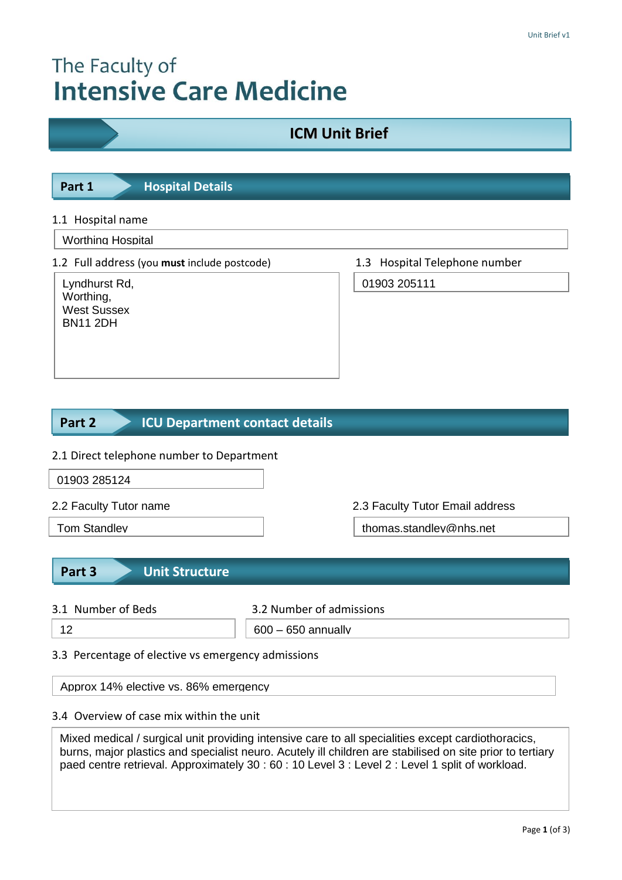# The Faculty of **Intensive Care Medicine**

## **ICM Unit Brief**

**Part 1 Hospital Details** 

#### 1.1 Hospital name

Worthing Hospital

1.2 Full address (you **must** include postcode) 1.3 Hospital Telephone number

Lyndhurst Rd, Worthing, West Sussex BN11 2DH

01903 205111

#### **ICU Department contact details Part 2**

#### 2.1 Direct telephone number to Department

01903 285124

2.2 Faculty Tutor name 2.3 Faculty Tutor Email address

Tom Standley thomas.standley@nhs.net

#### **Part 3 Unit Structure**

3.1 Number of Beds 3.2 Number of admissions

12 600 – 650 annually

#### 3.3 Percentage of elective vs emergency admissions

Approx 14% elective vs. 86% emergency

3.4 Details of training opportunities on the unit

#### 3.4 Overview of case mix within the unit

Mixed medical / surgical unit providing intensive care to all specialities except cardiothoracics, burns, major plastics and specialist neuro. Acutely ill children are stabilised on site prior to tertiary paed centre retrieval. Approximately 30 : 60 : 10 Level 3 : Level 2 : Level 1 split of workload.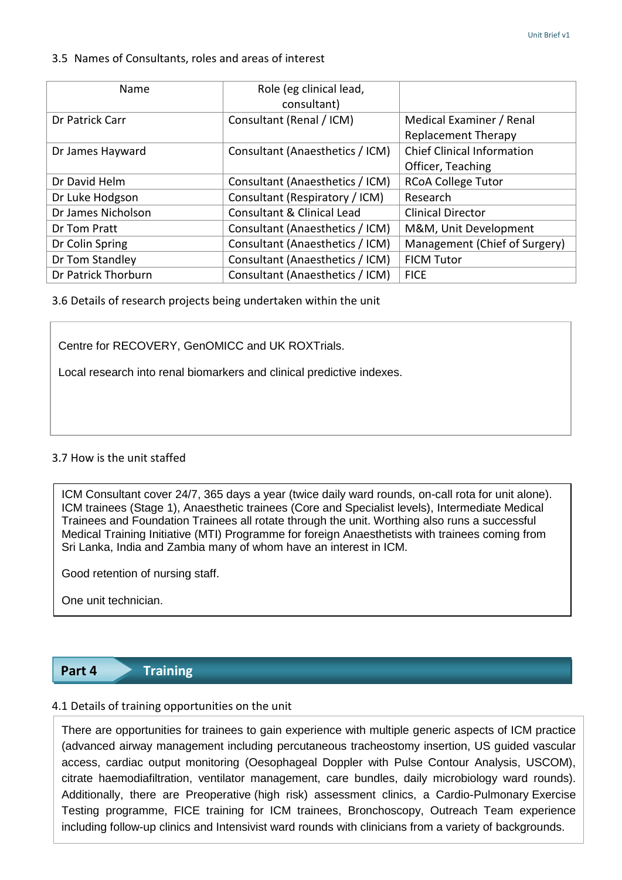#### 3.5 Names of Consultants, roles and areas of interest

| Name                | Role (eg clinical lead,<br>consultant) |                                                        |
|---------------------|----------------------------------------|--------------------------------------------------------|
| Dr Patrick Carr     | Consultant (Renal / ICM)               | Medical Examiner / Renal<br><b>Replacement Therapy</b> |
| Dr James Hayward    | Consultant (Anaesthetics / ICM)        | <b>Chief Clinical Information</b><br>Officer, Teaching |
| Dr David Helm       | Consultant (Anaesthetics / ICM)        | <b>RCoA College Tutor</b>                              |
| Dr Luke Hodgson     | Consultant (Respiratory / ICM)         | Research                                               |
| Dr James Nicholson  | Consultant & Clinical Lead             | <b>Clinical Director</b>                               |
| Dr Tom Pratt        | Consultant (Anaesthetics / ICM)        | M&M, Unit Development                                  |
| Dr Colin Spring     | Consultant (Anaesthetics / ICM)        | Management (Chief of Surgery)                          |
| Dr Tom Standley     | Consultant (Anaesthetics / ICM)        | <b>FICM Tutor</b>                                      |
| Dr Patrick Thorburn | Consultant (Anaesthetics / ICM)        | <b>FICE</b>                                            |

3.6 Details of research projects being undertaken within the unit

Centre for RECOVERY, GenOMICC and UK ROXTrials.

Local research into renal biomarkers and clinical predictive indexes.

#### 3.7 How is the unit staffed

ICM Consultant cover 24/7, 365 days a year (twice daily ward rounds, on-call rota for unit alone). ICM trainees (Stage 1), Anaesthetic trainees (Core and Specialist levels), Intermediate Medical Trainees and Foundation Trainees all rotate through the unit. Worthing also runs a successful Medical Training Initiative (MTI) Programme for foreign Anaesthetists with trainees coming from Sri Lanka, India and Zambia many of whom have an interest in ICM.

Good retention of nursing staff.

One unit technician.

### **Part 4 Training**

### 4.1 Details of training opportunities on the unit

including follow-up clinics and Intensivist ward rounds with clinicians from a variety of backgrounds. There are opportunities for trainees to gain experience with multiple generic aspects of ICM practice (advanced airway management including percutaneous tracheostomy insertion, US guided vascular access, cardiac output monitoring (Oesophageal Doppler with Pulse Contour Analysis, USCOM), citrate haemodiafiltration, ventilator management, care bundles, daily microbiology ward rounds). Additionally, there are Preoperative (high risk) assessment clinics, a Cardio-Pulmonary Exercise Testing programme, FICE training for ICM trainees, Bronchoscopy, Outreach Team experience